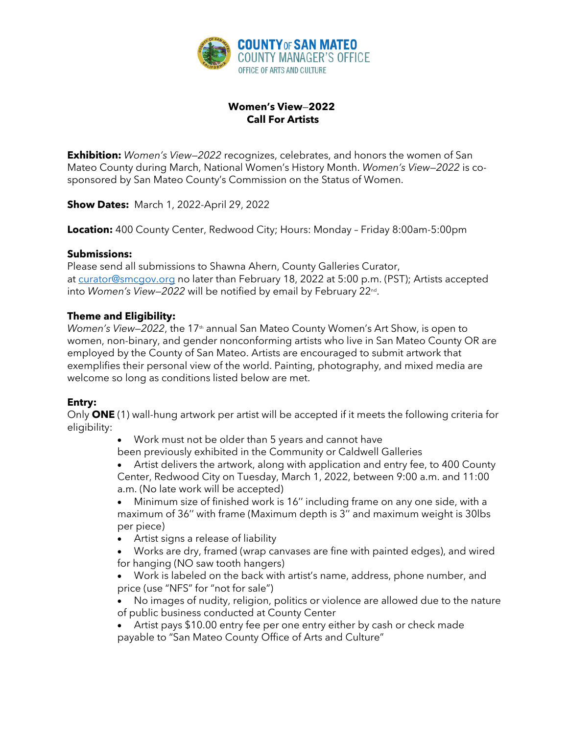

# **Women's View**—**2022 Call For Artists**

**Exhibition:** *Women's View—2022* recognizes, celebrates, and honors the women of San Mateo County during March, National Women's History Month. *Women's View—2022* is cosponsored by San Mateo County's Commission on the Status of Women.

**Show Dates:** March 1, 2022-April 29, 2022

**Location:** 400 County Center, Redwood City; Hours: Monday – Friday 8:00am-5:00pm

## **Submissions:**

Please send all submissions to Shawna Ahern, County Galleries Curator, at curator@smcgov.org no later than February 18, 2022 at 5:00 p.m. (PST); Artists accepted into *Women's View—2022* will be notified by email by February 22nd.

## **Theme and Eligibility:**

*Women's View–2022*, the 17<sup>th</sup> annual San Mateo County Women's Art Show, is open to women, non-binary, and gender nonconforming artists who live in San Mateo County OR are employed by the County of San Mateo. Artists are encouraged to submit artwork that exemplifies their personal view of the world. Painting, photography, and mixed media are welcome so long as conditions listed below are met.

## **Entry:**

Only **ONE** (1) wall-hung artwork per artist will be accepted if it meets the following criteria for eligibility:

> • Work must not be older than 5 years and cannot have been previously exhibited in the Community or Caldwell Galleries

• Artist delivers the artwork, along with application and entry fee, to 400 County Center, Redwood City on Tuesday, March 1, 2022, between 9:00 a.m. and 11:00 a.m. (No late work will be accepted)

• Minimum size of finished work is 16'' including frame on any one side, with a maximum of 36'' with frame (Maximum depth is 3'' and maximum weight is 30lbs per piece)

• Artist signs a release of liability

• Works are dry, framed (wrap canvases are fine with painted edges), and wired for hanging (NO saw tooth hangers)

• Work is labeled on the back with artist's name, address, phone number, and price (use "NFS" for "not for sale")

• No images of nudity, religion, politics or violence are allowed due to the nature of public business conducted at County Center

• Artist pays \$10.00 entry fee per one entry either by cash or check made payable to "San Mateo County Office of Arts and Culture"